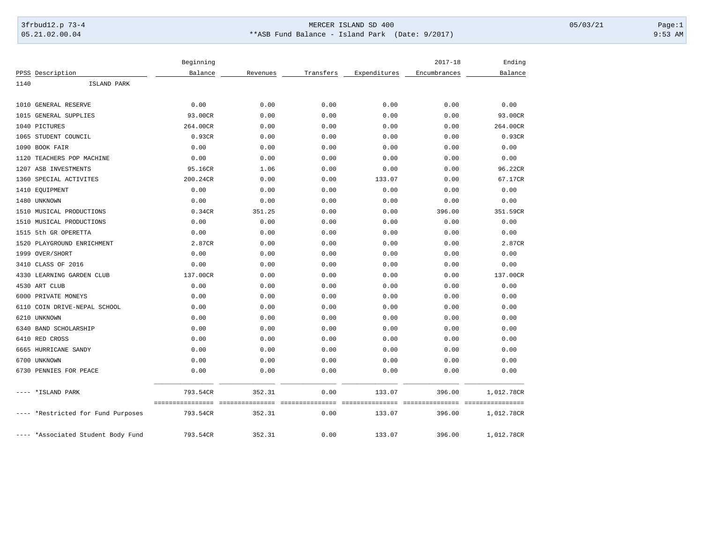## 3frbud12.p 73-4 Page:1 Page:1 05.21.02.00.04 \*\*ASB Fund Balance - Island Park (Date: 9/2017) 9:53 AM

|                                 | Beginning    |          |             |              | $2017 - 18$   | Ending           |
|---------------------------------|--------------|----------|-------------|--------------|---------------|------------------|
| PPSS Description                | Balance      | Revenues | Transfers   | Expenditures | Encumbrances  | Balance          |
| ISLAND PARK<br>1140             |              |          |             |              |               |                  |
|                                 |              |          |             |              |               |                  |
| 1010 GENERAL RESERVE            | 0.00         | 0.00     | 0.00        | 0.00         | 0.00          | 0.00             |
| 1015<br><b>GENERAL SUPPLIES</b> | 93.00CR      | 0.00     | 0.00        | 0.00         | 0.00          | 93.00CR          |
| 1040<br>PICTURES                | 264.00CR     | 0.00     | 0.00        | 0.00         | 0.00          | 264.00CR         |
| STUDENT COUNCIL<br>1065         | 0.93CR       | 0.00     | 0.00        | 0.00         | 0.00          | 0.93CR           |
| 1090<br>BOOK FAIR               | 0.00         | 0.00     | 0.00        | 0.00         | 0.00          | 0.00             |
| TEACHERS POP MACHINE<br>1120    | 0.00         | 0.00     | 0.00        | 0.00         | 0.00          | 0.00             |
| 1207 ASB INVESTMENTS            | 95.16CR      | 1.06     | 0.00        | 0.00         | 0.00          | 96.22CR          |
| 1360<br>SPECIAL ACTIVITES       | 200.24CR     | 0.00     | 0.00        | 133.07       | 0.00          | 67.17CR          |
| EQUIPMENT<br>1410               | 0.00         | 0.00     | 0.00        | 0.00         | 0.00          | 0.00             |
| 1480 UNKNOWN                    | 0.00         | 0.00     | 0.00        | 0.00         | 0.00          | 0.00             |
| 1510<br>MUSICAL PRODUCTIONS     | 0.34CR       | 351.25   | 0.00        | 0.00         | 396.00        | 351.59CR         |
| MUSICAL PRODUCTIONS<br>1510     | 0.00         | 0.00     | 0.00        | 0.00         | 0.00          | 0.00             |
| 5th GR OPERETTA<br>1515         | 0.00         | 0.00     | 0.00        | 0.00         | 0.00          | 0.00             |
| 1520<br>PLAYGROUND ENRICHMENT   | 2.87CR       | 0.00     | 0.00        | 0.00         | 0.00          | 2.87CR           |
| 1999<br>OVER/SHORT              | 0.00         | 0.00     | 0.00        | 0.00         | 0.00          | 0.00             |
| CLASS OF 2016<br>3410           | 0.00         | 0.00     | 0.00        | 0.00         | 0.00          | 0.00             |
| LEARNING GARDEN CLUB<br>4330    | 137.00CR     | 0.00     | 0.00        | 0.00         | 0.00          | 137.00CR         |
| 4530<br>ART CLUB                | 0.00         | 0.00     | 0.00        | 0.00         | 0.00          | 0.00             |
| 6000 PRIVATE MONEYS             | 0.00         | 0.00     | 0.00        | 0.00         | 0.00          | 0.00             |
| 6110<br>COIN DRIVE-NEPAL SCHOOL | 0.00         | 0.00     | 0.00        | 0.00         | 0.00          | 0.00             |
| 6210<br>UNKNOWN                 | 0.00         | 0.00     | 0.00        | 0.00         | 0.00          | 0.00             |
| 6340 BAND SCHOLARSHIP           | 0.00         | 0.00     | 0.00        | 0.00         | 0.00          | 0.00             |
| 6410 RED CROSS                  | 0.00         | 0.00     | 0.00        | 0.00         | 0.00          | 0.00             |
| 6665 HURRICANE SANDY            | 0.00         | 0.00     | 0.00        | 0.00         | 0.00          | 0.00             |
| 6700 UNKNOWN                    | 0.00         | 0.00     | 0.00        | 0.00         | 0.00          | 0.00             |
| 6730 PENNIES FOR PEACE          | 0.00         | 0.00     | 0.00        | 0.00         | 0.00          | 0.00             |
| *ISLAND PARK                    | 793.54CR     | 352.31   | 0.00        | 133.07       | 396.00        | 1,012.78CR       |
|                                 | ============ |          | =========== | =========    | ============= | ================ |
| *Restricted for Fund Purposes   | 793.54CR     | 352.31   | 0.00        | 133.07       | 396.00        | 1,012.78CR       |
| *Associated Student Body Fund   | 793.54CR     | 352.31   | 0.00        | 133.07       | 396.00        | 1,012.78CR       |